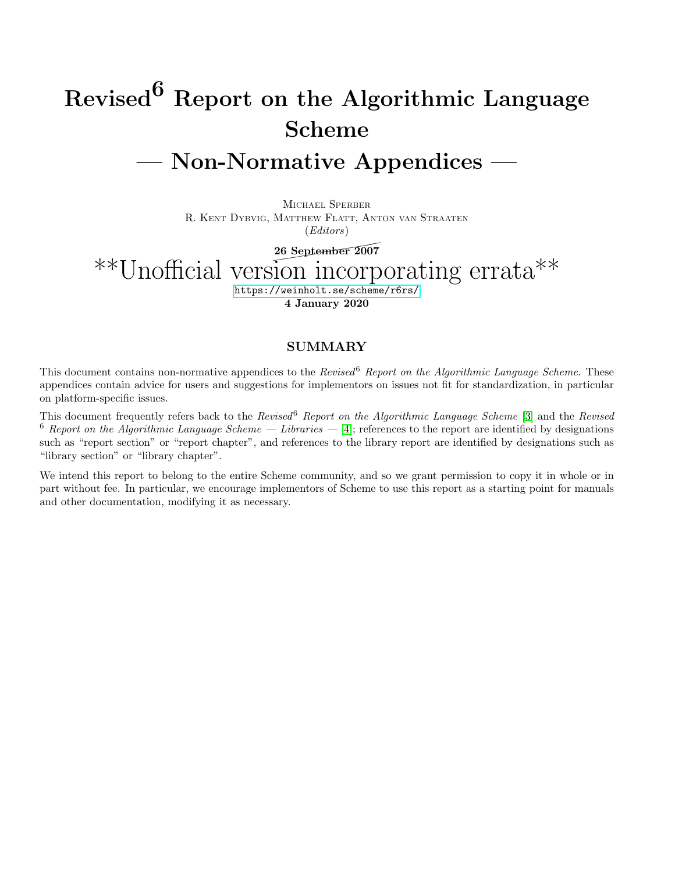# Revised<sup>6</sup> Report on the Algorithmic Language Scheme — Non-Normative Appendices —

MICHAEL SPERBER R. KENT DYBVIG, MATTHEW FLATT, ANTON VAN STRAATEN (Editors)

26 September 2007 \*\*Unofficial version incorporating errata\*\* <https://weinholt.se/scheme/r6rs/> 4 January 2020

## SUMMARY

This document contains non-normative appendices to the Revised<sup>6</sup> Report on the Algorithmic Language Scheme. These appendices contain advice for users and suggestions for implementors on issues not fit for standardization, in particular on platform-specific issues.

This document frequently refers back to the Revised<sup>6</sup> Report on the Algorithmic Language Scheme [\[3\]](#page-5-0) and the Revised  $6$  Report on the Algorithmic Language Scheme — Libraries — [\[4\]](#page-5-1); references to the report are identified by designations such as "report section" or "report chapter", and references to the library report are identified by designations such as "library section" or "library chapter".

We intend this report to belong to the entire Scheme community, and so we grant permission to copy it in whole or in part without fee. In particular, we encourage implementors of Scheme to use this report as a starting point for manuals and other documentation, modifying it as necessary.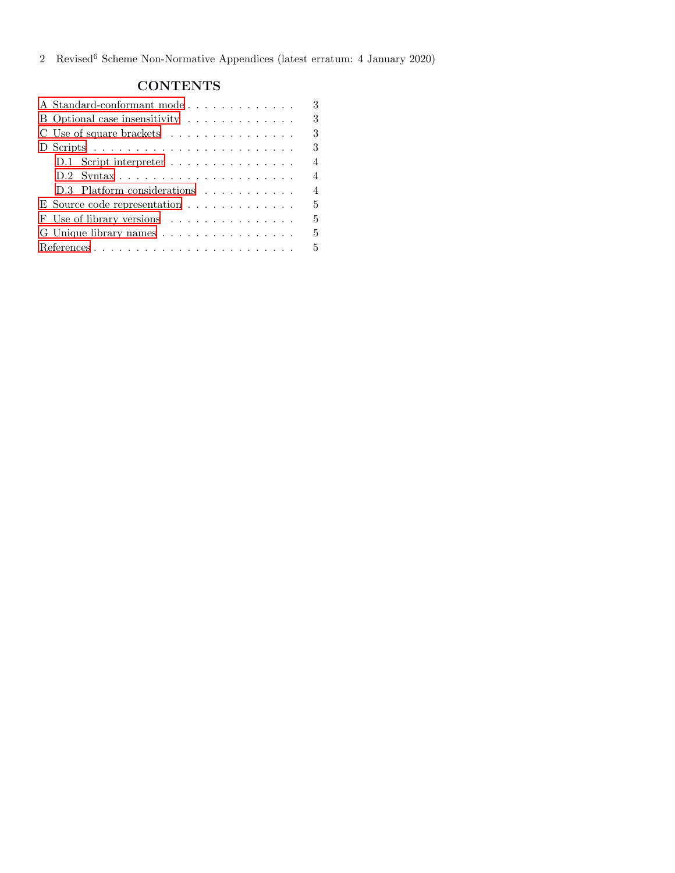2 Revised<sup>6</sup> Scheme Non-Normative Appendices (latest erratum: 4 January 2020)

# CONTENTS

| A Standard-conformant mode                                  | 3              |
|-------------------------------------------------------------|----------------|
| B Optional case insensitivity $\ldots \ldots \ldots \ldots$ | 3              |
| C Use of square brackets                                    | 3              |
|                                                             | 3              |
| $D.1$ Script interpreter                                    | $\overline{4}$ |
|                                                             | $\overline{4}$ |
| $D.3$ Platform considerations $\ldots \ldots \ldots$        | $\overline{4}$ |
| E Source code representation $\ldots \ldots \ldots \ldots$  | 5              |
| F Use of library versions                                   | 5              |
| G Unique library names                                      | 5              |
|                                                             | $\overline{5}$ |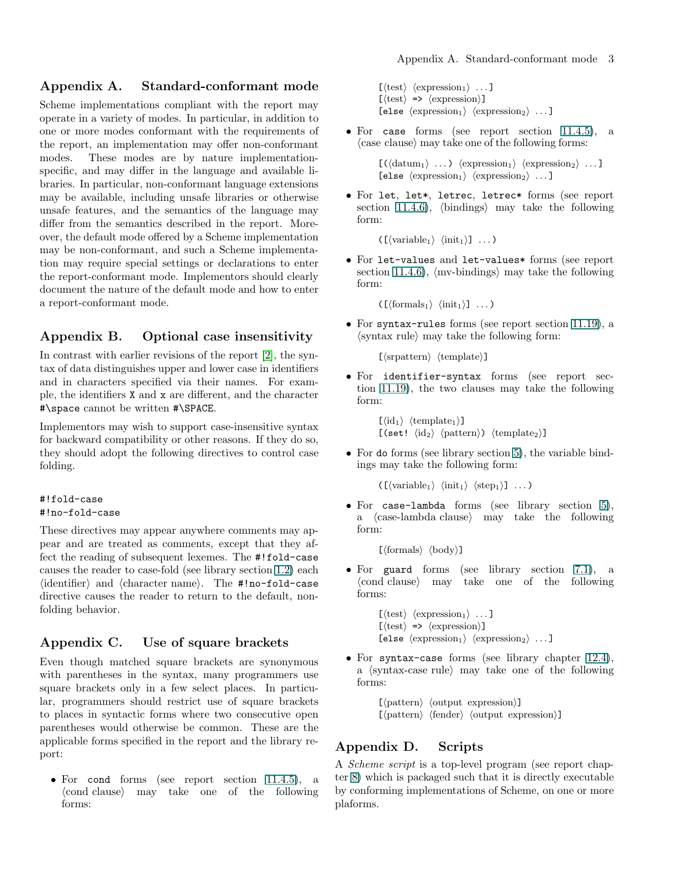## <span id="page-2-0"></span>Appendix A. Standard-conformant mode

Scheme implementations compliant with the report may operate in a variety of modes. In particular, in addition to one or more modes conformant with the requirements of the report, an implementation may offer non-conformant modes. These modes are by nature implementationspecific, and may differ in the language and available libraries. In particular, non-conformant language extensions may be available, including unsafe libraries or otherwise unsafe features, and the semantics of the language may differ from the semantics described in the report. Moreover, the default mode offered by a Scheme implementation may be non-conformant, and such a Scheme implementation may require special settings or declarations to enter the report-conformant mode. Implementors should clearly document the nature of the default mode and how to enter a report-conformant mode.

### <span id="page-2-1"></span>Appendix B. Optional case insensitivity

In contrast with earlier revisions of the report [\[2\]](#page-5-2), the syntax of data distinguishes upper and lower case in identifiers and in characters specified via their names. For example, the identifiers X and x are different, and the character #\space cannot be written #\SPACE.

Implementors may wish to support case-insensitive syntax for backward compatibility or other reasons. If they do so, they should adopt the following directives to control case folding.

#### #!fold-case #!no-fold-case

These directives may appear anywhere comments may appear and are treated as comments, except that they affect the reading of subsequent lexemes. The #!fold-case causes the reader to case-fold (see library section 1.2) each  $\langle$ identifier $\rangle$  and  $\langle$ character name $\rangle$ . The #!no-fold-case directive causes the reader to return to the default, nonfolding behavior.

## <span id="page-2-2"></span>Appendix C. Use of square brackets

Even though matched square brackets are synonymous with parentheses in the syntax, many programmers use square brackets only in a few select places. In particular, programmers should restrict use of square brackets to places in syntactic forms where two consecutive open parentheses would otherwise be common. These are the applicable forms specified in the report and the library report:

• For cond forms (see report section 11.4.5), a  $\langle$ cond clause $\rangle$  may take one of the following forms:

 $[\langle test \rangle \langle expression_1 \rangle \dots]$  $\lceil \langle \text{test} \rangle \rangle$  =>  $\langle \text{expression} \rangle$ ] [else  $\langle$ expression<sub>1</sub>}  $\langle$ expression<sub>2</sub>} . . . ]

• For case forms (see report section 11.4.5), a  $\langle \text{case clause} \rangle$  may take one of the following forms:

> $[(\langle \text{datum}_1 \rangle \dots) \langle \text{expression}_1 \rangle \langle \text{expression}_2 \rangle \dots]$ [else  $\langle$ expression<sub>1</sub>}  $\langle$ expression<sub>2</sub>} ...]

• For let, let\*, letrec, letrec\* forms (see report section 11.4.6),  $\langle$  bindings $\rangle$  may take the following form:

( $[\langle variable_1 \rangle \langle init_1 \rangle] \dots$ )

• For let-values and let-values\* forms (see report section 11.4.6),  $\langle$  mv-bindings $\rangle$  may take the following form:

 $(\lceil\langle \text{formals}_1 \rangle \setminus \{init_1\} \rceil \dots)$ 

• For syntax-rules forms (see report section 11.19), a  $\langle$ syntax rule $\rangle$  may take the following form:

 $[\langle$ srpattern $\rangle$   $\langle$ template $\rangle$ ]

• For identifier-syntax forms (see report section 11.19), the two clauses may take the following form:

> $\lceil\langle id_1 \rangle \rangle$  (template<sub>1</sub>)] [(set!  $\langle id_2 \rangle$   $\langle$  pattern})  $\langle$  template<sub>2</sub> $\rangle$ ]

• For do forms (see library section 5), the variable bindings may take the following form:

 $(\lceil\langle variable_1\rangle \langle init_1\rangle \langle step_1\rangle] \dots)$ 

• For case-lambda forms (see library section 5), a  $\langle \text{case-lambda clause} \rangle$  may take the following form:

 $[\langle \text{formals} \rangle \langle \text{body} \rangle]$ 

• For guard forms (see library section 7.1), a  $\langle$ cond clause $\rangle$  may take one of the following forms:

> $[\langle test \rangle \langle expression_1 \rangle \dots]$  $[\langle test \rangle \Rightarrow \langle expression \rangle]$ [else  $\langle$ expression<sub>1</sub>}  $\langle$ expression<sub>2</sub>} . . . ]

• For syntax-case forms (see library chapter 12.4), a  $\langle$ syntax-case rule $\rangle$  may take one of the following forms:

> $[\langle pattern \rangle \langle output expression \rangle]$  $[\langle pattern \rangle \langle fender \rangle \langle output expression \rangle]$

#### <span id="page-2-3"></span>Appendix D. Scripts

A Scheme script is a top-level program (see report chapter 8) which is packaged such that it is directly executable by conforming implementations of Scheme, on one or more plaforms.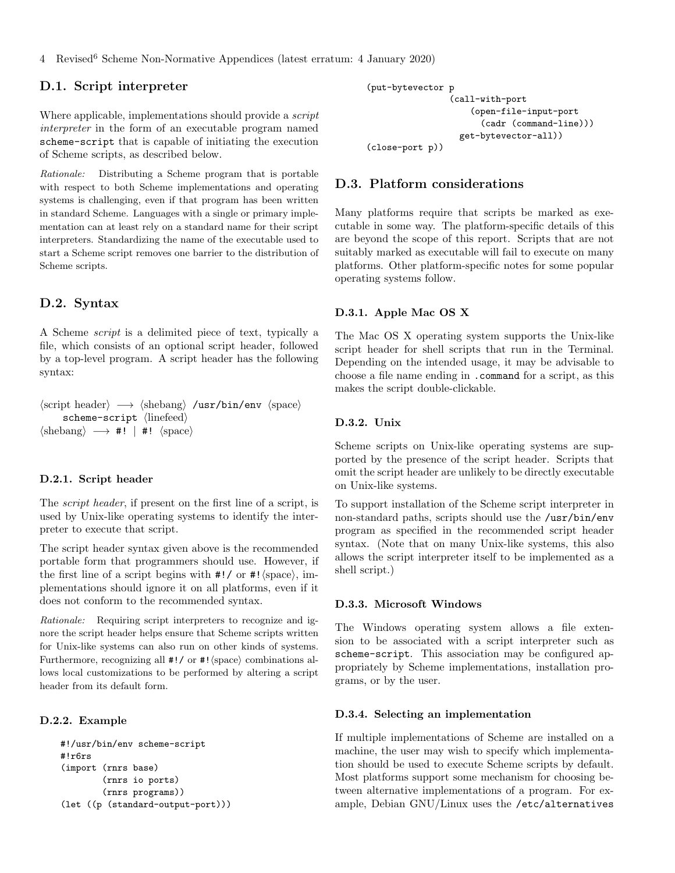4 Revised<sup>6</sup> Scheme Non-Normative Appendices (latest erratum: 4 January 2020)

## <span id="page-3-0"></span>D.1. Script interpreter

Where applicable, implementations should provide a script interpreter in the form of an executable program named scheme-script that is capable of initiating the execution of Scheme scripts, as described below.

Rationale: Distributing a Scheme program that is portable with respect to both Scheme implementations and operating systems is challenging, even if that program has been written in standard Scheme. Languages with a single or primary implementation can at least rely on a standard name for their script interpreters. Standardizing the name of the executable used to start a Scheme script removes one barrier to the distribution of Scheme scripts.

## <span id="page-3-1"></span>D.2. Syntax

A Scheme script is a delimited piece of text, typically a file, which consists of an optional script header, followed by a top-level program. A script header has the following syntax:

 $\langle \text{script header} \rangle \longrightarrow \langle \text{shebang} \rangle$  /usr/bin/env  $\langle \text{space} \rangle$ scheme-script (linefeed)  $\langle \text{shebang} \rangle \rightarrow \text{#!}$  | #!  $\langle \text{space} \rangle$ 

#### D.2.1. Script header

The script header, if present on the first line of a script, is used by Unix-like operating systems to identify the interpreter to execute that script.

The script header syntax given above is the recommended portable form that programmers should use. However, if the first line of a script begins with  $\#!/$  or  $\#!/$  (space), implementations should ignore it on all platforms, even if it does not conform to the recommended syntax.

Rationale: Requiring script interpreters to recognize and ignore the script header helps ensure that Scheme scripts written for Unix-like systems can also run on other kinds of systems. Furthermore, recognizing all  $\#!/$  or  $\#/\langle$ space $\rangle$  combinations allows local customizations to be performed by altering a script header from its default form.

#### D.2.2. Example

```
#!/usr/bin/env scheme-script
#!r6rs
(import (rnrs base)
        (rnrs io ports)
        (rnrs programs))
(let ((p (standard-output-port)))
```

```
(put-bytevector p
                (call-with-port
                    (open-file-input-port
                       (cadr (command-line)))
                  get-bytevector-all))
(close-port p))
```
## <span id="page-3-2"></span>D.3. Platform considerations

Many platforms require that scripts be marked as executable in some way. The platform-specific details of this are beyond the scope of this report. Scripts that are not suitably marked as executable will fail to execute on many platforms. Other platform-specific notes for some popular operating systems follow.

#### D.3.1. Apple Mac OS X

The Mac OS X operating system supports the Unix-like script header for shell scripts that run in the Terminal. Depending on the intended usage, it may be advisable to choose a file name ending in .command for a script, as this makes the script double-clickable.

#### D.3.2. Unix

Scheme scripts on Unix-like operating systems are supported by the presence of the script header. Scripts that omit the script header are unlikely to be directly executable on Unix-like systems.

To support installation of the Scheme script interpreter in non-standard paths, scripts should use the /usr/bin/env program as specified in the recommended script header syntax. (Note that on many Unix-like systems, this also allows the script interpreter itself to be implemented as a shell script.)

#### D.3.3. Microsoft Windows

The Windows operating system allows a file extension to be associated with a script interpreter such as scheme-script. This association may be configured appropriately by Scheme implementations, installation programs, or by the user.

#### D.3.4. Selecting an implementation

If multiple implementations of Scheme are installed on a machine, the user may wish to specify which implementation should be used to execute Scheme scripts by default. Most platforms support some mechanism for choosing between alternative implementations of a program. For example, Debian GNU/Linux uses the /etc/alternatives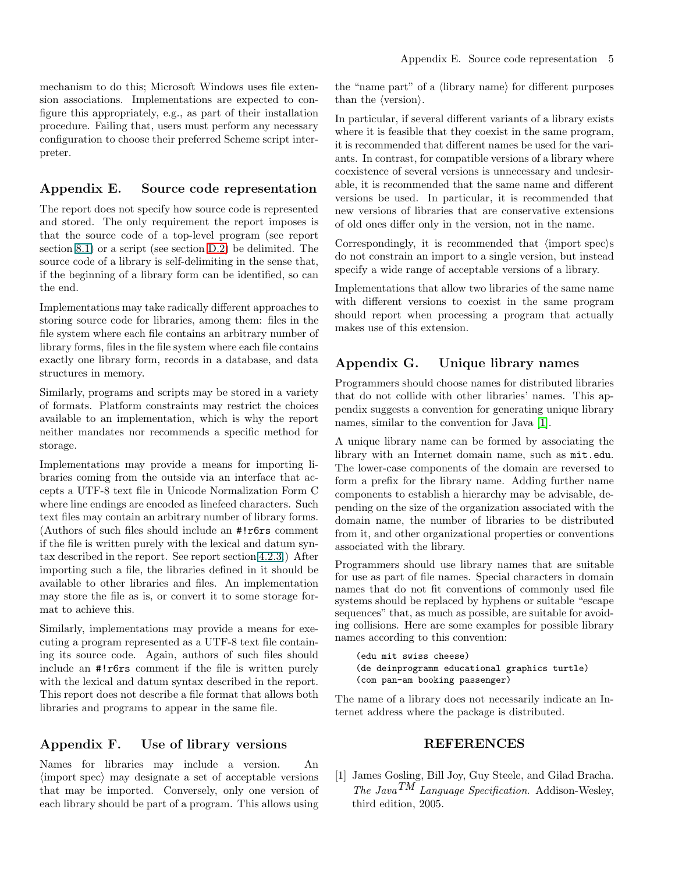mechanism to do this; Microsoft Windows uses file extension associations. Implementations are expected to configure this appropriately, e.g., as part of their installation procedure. Failing that, users must perform any necessary configuration to choose their preferred Scheme script interpreter.

# <span id="page-4-0"></span>Appendix E. Source code representation

The report does not specify how source code is represented and stored. The only requirement the report imposes is that the source code of a top-level program (see report section 8.1) or a script (see section [D.2\)](#page-3-1) be delimited. The source code of a library is self-delimiting in the sense that, if the beginning of a library form can be identified, so can the end.

Implementations may take radically different approaches to storing source code for libraries, among them: files in the file system where each file contains an arbitrary number of library forms, files in the file system where each file contains exactly one library form, records in a database, and data structures in memory.

Similarly, programs and scripts may be stored in a variety of formats. Platform constraints may restrict the choices available to an implementation, which is why the report neither mandates nor recommends a specific method for storage.

Implementations may provide a means for importing libraries coming from the outside via an interface that accepts a UTF-8 text file in Unicode Normalization Form C where line endings are encoded as linefeed characters. Such text files may contain an arbitrary number of library forms. (Authors of such files should include an #!r6rs comment if the file is written purely with the lexical and datum syntax described in the report. See report section 4.2.3.) After importing such a file, the libraries defined in it should be available to other libraries and files. An implementation may store the file as is, or convert it to some storage format to achieve this.

Similarly, implementations may provide a means for executing a program represented as a UTF-8 text file containing its source code. Again, authors of such files should include an #!r6rs comment if the file is written purely with the lexical and datum syntax described in the report. This report does not describe a file format that allows both libraries and programs to appear in the same file.

## <span id="page-4-1"></span>Appendix F. Use of library versions

Names for libraries may include a version. An  $\langle$ import spec $\rangle$  may designate a set of acceptable versions that may be imported. Conversely, only one version of each library should be part of a program. This allows using the "name part" of a  $\langle$ library name $\rangle$  for different purposes than the  $\langle version \rangle$ .

In particular, if several different variants of a library exists where it is feasible that they coexist in the same program, it is recommended that different names be used for the variants. In contrast, for compatible versions of a library where coexistence of several versions is unnecessary and undesirable, it is recommended that the same name and different versions be used. In particular, it is recommended that new versions of libraries that are conservative extensions of old ones differ only in the version, not in the name.

Correspondingly, it is recommended that  $\langle$ import spec $\rangle$ s do not constrain an import to a single version, but instead specify a wide range of acceptable versions of a library.

Implementations that allow two libraries of the same name with different versions to coexist in the same program should report when processing a program that actually makes use of this extension.

# <span id="page-4-2"></span>Appendix G. Unique library names

Programmers should choose names for distributed libraries that do not collide with other libraries' names. This appendix suggests a convention for generating unique library names, similar to the convention for Java [\[1\]](#page-4-4).

A unique library name can be formed by associating the library with an Internet domain name, such as mit.edu. The lower-case components of the domain are reversed to form a prefix for the library name. Adding further name components to establish a hierarchy may be advisable, depending on the size of the organization associated with the domain name, the number of libraries to be distributed from it, and other organizational properties or conventions associated with the library.

Programmers should use library names that are suitable for use as part of file names. Special characters in domain names that do not fit conventions of commonly used file systems should be replaced by hyphens or suitable "escape sequences" that, as much as possible, are suitable for avoiding collisions. Here are some examples for possible library names according to this convention:

(edu mit swiss cheese) (de deinprogramm educational graphics turtle) (com pan-am booking passenger)

<span id="page-4-3"></span>The name of a library does not necessarily indicate an Internet address where the package is distributed.

#### REFERENCES

<span id="page-4-4"></span>[1] James Gosling, Bill Joy, Guy Steele, and Gilad Bracha. The Java<sup>TM</sup> Language Specification. Addison-Wesley, third edition, 2005.